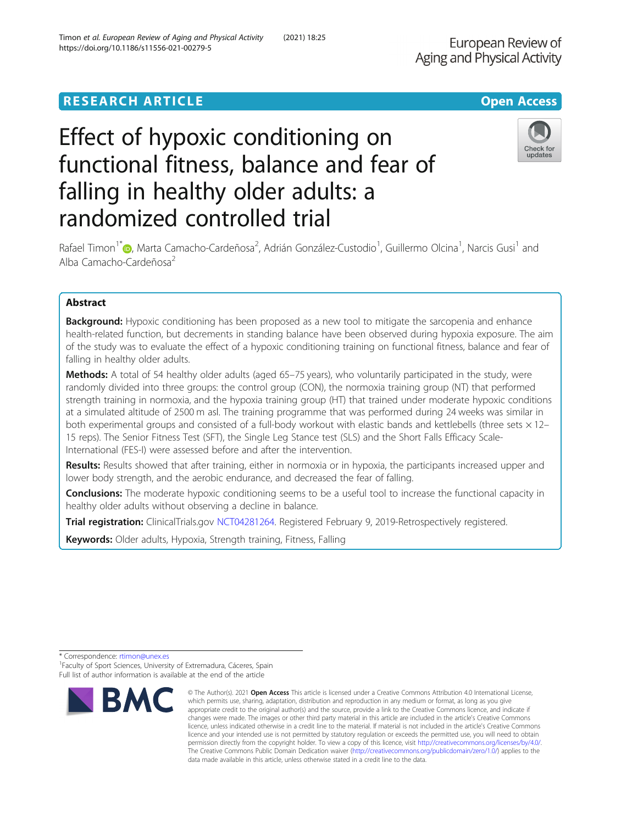## **RESEARCH ARTICLE Example 2014 12:30 The Contract of Contract Contract Open Access**

# Effect of hypoxic conditioning on functional fitness, balance and fear of falling in healthy older adults: a randomized controlled trial

Rafael Timon<sup>1\*</sup>�, Marta Camacho-Cardeñosa<sup>2</sup>, Adrián González-Custodio<sup>1</sup>, Guillermo Olcina<sup>1</sup>, Narcis Gusi<sup>1</sup> and Alba Camacho-Cardeñosa<sup>2</sup>

## Abstract

**Background:** Hypoxic conditioning has been proposed as a new tool to mitigate the sarcopenia and enhance health-related function, but decrements in standing balance have been observed during hypoxia exposure. The aim of the study was to evaluate the effect of a hypoxic conditioning training on functional fitness, balance and fear of falling in healthy older adults.

Methods: A total of 54 healthy older adults (aged 65-75 years), who voluntarily participated in the study, were randomly divided into three groups: the control group (CON), the normoxia training group (NT) that performed strength training in normoxia, and the hypoxia training group (HT) that trained under moderate hypoxic conditions at a simulated altitude of 2500 m asl. The training programme that was performed during 24 weeks was similar in both experimental groups and consisted of a full-body workout with elastic bands and kettlebells (three sets  $\times$  12-15 reps). The Senior Fitness Test (SFT), the Single Leg Stance test (SLS) and the Short Falls Efficacy Scale-International (FES-I) were assessed before and after the intervention.

Results: Results showed that after training, either in normoxia or in hypoxia, the participants increased upper and lower body strength, and the aerobic endurance, and decreased the fear of falling.

**Conclusions:** The moderate hypoxic conditioning seems to be a useful tool to increase the functional capacity in healthy older adults without observing a decline in balance.

Trial registration: ClinicalTrials.gov [NCT04281264](https://clinicaltrials.gov/ct2/show/NCT04281264). Registered February 9, 2019-Retrospectively registered.

Keywords: Older adults, Hypoxia, Strength training, Fitness, Falling





<sup>\*</sup> Correspondence: [rtimon@unex.es](mailto:rtimon@unex.es) <sup>1</sup>

<sup>&</sup>lt;sup>1</sup> Faculty of Sport Sciences, University of Extremadura, Cáceres, Spain Full list of author information is available at the end of the article

<sup>©</sup> The Author(s), 2021 **Open Access** This article is licensed under a Creative Commons Attribution 4.0 International License, which permits use, sharing, adaptation, distribution and reproduction in any medium or format, as long as you give appropriate credit to the original author(s) and the source, provide a link to the Creative Commons licence, and indicate if changes were made. The images or other third party material in this article are included in the article's Creative Commons licence, unless indicated otherwise in a credit line to the material. If material is not included in the article's Creative Commons licence and your intended use is not permitted by statutory regulation or exceeds the permitted use, you will need to obtain permission directly from the copyright holder. To view a copy of this licence, visit [http://creativecommons.org/licenses/by/4.0/.](http://creativecommons.org/licenses/by/4.0/) The Creative Commons Public Domain Dedication waiver [\(http://creativecommons.org/publicdomain/zero/1.0/](http://creativecommons.org/publicdomain/zero/1.0/)) applies to the data made available in this article, unless otherwise stated in a credit line to the data.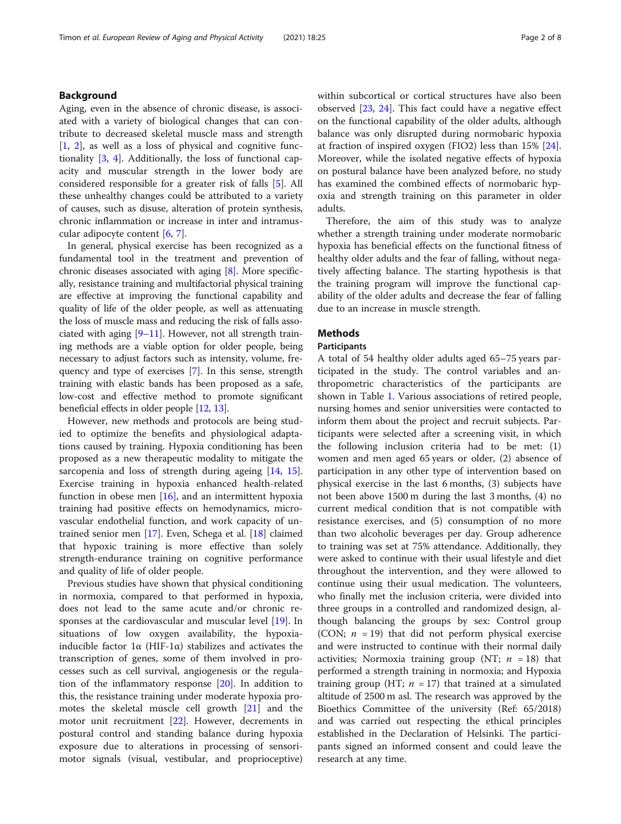## Background

Aging, even in the absence of chronic disease, is associated with a variety of biological changes that can contribute to decreased skeletal muscle mass and strength [[1,](#page-6-0) [2](#page-6-0)], as well as a loss of physical and cognitive functionality [\[3](#page-6-0), [4](#page-6-0)]. Additionally, the loss of functional capacity and muscular strength in the lower body are considered responsible for a greater risk of falls [\[5](#page-6-0)]. All these unhealthy changes could be attributed to a variety of causes, such as disuse, alteration of protein synthesis, chronic inflammation or increase in inter and intramuscular adipocyte content [[6,](#page-6-0) [7\]](#page-6-0).

In general, physical exercise has been recognized as a fundamental tool in the treatment and prevention of chronic diseases associated with aging [[8](#page-6-0)]. More specifically, resistance training and multifactorial physical training are effective at improving the functional capability and quality of life of the older people, as well as attenuating the loss of muscle mass and reducing the risk of falls associated with aging  $[9-11]$  $[9-11]$  $[9-11]$ . However, not all strength training methods are a viable option for older people, being necessary to adjust factors such as intensity, volume, frequency and type of exercises [\[7](#page-6-0)]. In this sense, strength training with elastic bands has been proposed as a safe, low-cost and effective method to promote significant beneficial effects in older people [[12](#page-7-0), [13\]](#page-7-0).

However, new methods and protocols are being studied to optimize the benefits and physiological adaptations caused by training. Hypoxia conditioning has been proposed as a new therapeutic modality to mitigate the sarcopenia and loss of strength during ageing [\[14,](#page-7-0) [15](#page-7-0)]. Exercise training in hypoxia enhanced health-related function in obese men  $[16]$ , and an intermittent hypoxia training had positive effects on hemodynamics, microvascular endothelial function, and work capacity of untrained senior men [\[17](#page-7-0)]. Even, Schega et al. [[18](#page-7-0)] claimed that hypoxic training is more effective than solely strength-endurance training on cognitive performance and quality of life of older people.

Previous studies have shown that physical conditioning in normoxia, compared to that performed in hypoxia, does not lead to the same acute and/or chronic responses at the cardiovascular and muscular level [[19](#page-7-0)]. In situations of low oxygen availability, the hypoxiainducible factor 1α (HIF-1α) stabilizes and activates the transcription of genes, some of them involved in processes such as cell survival, angiogenesis or the regulation of the inflammatory response [[20\]](#page-7-0). In addition to this, the resistance training under moderate hypoxia promotes the skeletal muscle cell growth [[21\]](#page-7-0) and the motor unit recruitment [[22\]](#page-7-0). However, decrements in postural control and standing balance during hypoxia exposure due to alterations in processing of sensorimotor signals (visual, vestibular, and proprioceptive) within subcortical or cortical structures have also been observed [[23,](#page-7-0) [24](#page-7-0)]. This fact could have a negative effect on the functional capability of the older adults, although balance was only disrupted during normobaric hypoxia at fraction of inspired oxygen (FIO2) less than 15% [\[24](#page-7-0)]. Moreover, while the isolated negative effects of hypoxia on postural balance have been analyzed before, no study has examined the combined effects of normobaric hypoxia and strength training on this parameter in older adults.

Therefore, the aim of this study was to analyze whether a strength training under moderate normobaric hypoxia has beneficial effects on the functional fitness of healthy older adults and the fear of falling, without negatively affecting balance. The starting hypothesis is that the training program will improve the functional capability of the older adults and decrease the fear of falling due to an increase in muscle strength.

## **Methods**

#### **Participants**

A total of 54 healthy older adults aged 65–75 years participated in the study. The control variables and anthropometric characteristics of the participants are shown in Table [1.](#page-2-0) Various associations of retired people, nursing homes and senior universities were contacted to inform them about the project and recruit subjects. Participants were selected after a screening visit, in which the following inclusion criteria had to be met: (1) women and men aged 65 years or older, (2) absence of participation in any other type of intervention based on physical exercise in the last 6 months, (3) subjects have not been above 1500 m during the last 3 months, (4) no current medical condition that is not compatible with resistance exercises, and (5) consumption of no more than two alcoholic beverages per day. Group adherence to training was set at 75% attendance. Additionally, they were asked to continue with their usual lifestyle and diet throughout the intervention, and they were allowed to continue using their usual medication. The volunteers, who finally met the inclusion criteria, were divided into three groups in a controlled and randomized design, although balancing the groups by sex: Control group (CON;  $n = 19$ ) that did not perform physical exercise and were instructed to continue with their normal daily activities; Normoxia training group (NT;  $n = 18$ ) that performed a strength training in normoxia; and Hypoxia training group (HT;  $n = 17$ ) that trained at a simulated altitude of 2500 m asl. The research was approved by the Bioethics Committee of the university (Ref: 65/2018) and was carried out respecting the ethical principles established in the Declaration of Helsinki. The participants signed an informed consent and could leave the research at any time.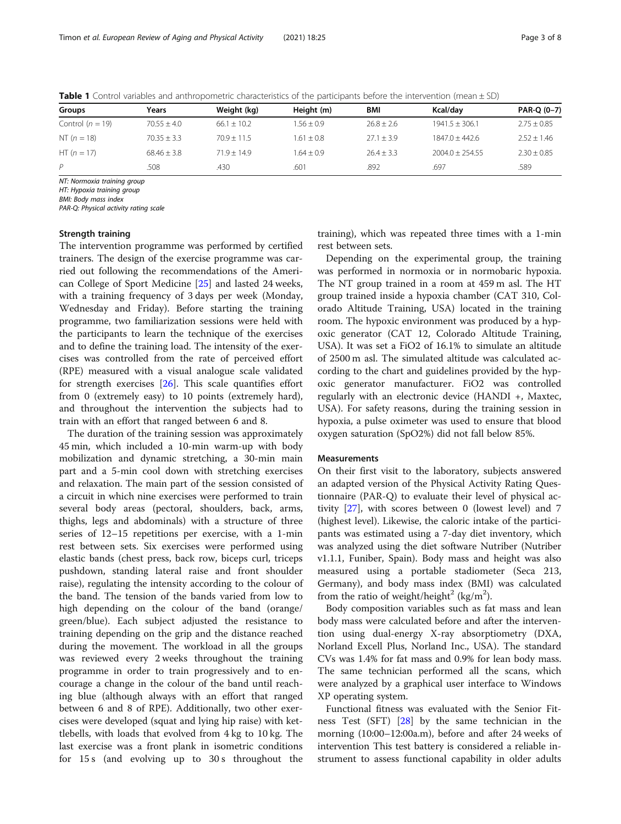| Groups             | Years           | Weight (kg)     | Height (m)   | BMI            | Kcal/dav          | PAR-Q (0-7)   |
|--------------------|-----------------|-----------------|--------------|----------------|-------------------|---------------|
| Control $(n = 19)$ | $70.55 \pm 4.0$ | $66.1 \pm 10.2$ | $1.56 + 0.9$ | $26.8 \pm 2.6$ | $1941.5 + 306.1$  | $2.75 + 0.85$ |
| NT $(n = 18)$      | $70.35 \pm 3.3$ | $70.9 + 11.5$   | $1.61 + 0.8$ | $27.1 + 3.9$   | $1847.0 + 442.6$  | $2.52 + 1.46$ |
| HT $(n = 17)$      | $68.46 + 3.8$   | $71.9 + 14.9$   | $1.64 + 0.9$ | $26.4 + 3.3$   | $2004.0 + 254.55$ | $2.30 + 0.85$ |
| P                  | 508             | .430            | .601         | .892           | .697              | .589          |

<span id="page-2-0"></span>Table 1 Control variables and anthropometric characteristics of the participants before the intervention (mean  $\pm$  SD)

NT: Normoxia training group

HT: Hypoxia training group

BMI: Body mass index

PAR-Q: Physical activity rating scale

#### Strength training

The intervention programme was performed by certified trainers. The design of the exercise programme was carried out following the recommendations of the American College of Sport Medicine [\[25](#page-7-0)] and lasted 24 weeks, with a training frequency of 3 days per week (Monday, Wednesday and Friday). Before starting the training programme, two familiarization sessions were held with the participants to learn the technique of the exercises and to define the training load. The intensity of the exercises was controlled from the rate of perceived effort (RPE) measured with a visual analogue scale validated for strength exercises [\[26\]](#page-7-0). This scale quantifies effort from 0 (extremely easy) to 10 points (extremely hard), and throughout the intervention the subjects had to train with an effort that ranged between 6 and 8.

The duration of the training session was approximately 45 min, which included a 10-min warm-up with body mobilization and dynamic stretching, a 30-min main part and a 5-min cool down with stretching exercises and relaxation. The main part of the session consisted of a circuit in which nine exercises were performed to train several body areas (pectoral, shoulders, back, arms, thighs, legs and abdominals) with a structure of three series of 12–15 repetitions per exercise, with a 1-min rest between sets. Six exercises were performed using elastic bands (chest press, back row, biceps curl, triceps pushdown, standing lateral raise and front shoulder raise), regulating the intensity according to the colour of the band. The tension of the bands varied from low to high depending on the colour of the band (orange/ green/blue). Each subject adjusted the resistance to training depending on the grip and the distance reached during the movement. The workload in all the groups was reviewed every 2 weeks throughout the training programme in order to train progressively and to encourage a change in the colour of the band until reaching blue (although always with an effort that ranged between 6 and 8 of RPE). Additionally, two other exercises were developed (squat and lying hip raise) with kettlebells, with loads that evolved from 4 kg to 10 kg. The last exercise was a front plank in isometric conditions for 15 s (and evolving up to 30 s throughout the

training), which was repeated three times with a 1-min rest between sets.

Depending on the experimental group, the training was performed in normoxia or in normobaric hypoxia. The NT group trained in a room at 459 m asl. The HT group trained inside a hypoxia chamber (CAT 310, Colorado Altitude Training, USA) located in the training room. The hypoxic environment was produced by a hypoxic generator (CAT 12, Colorado Altitude Training, USA). It was set a FiO2 of 16.1% to simulate an altitude of 2500 m asl. The simulated altitude was calculated according to the chart and guidelines provided by the hypoxic generator manufacturer. FiO2 was controlled regularly with an electronic device (HANDI +, Maxtec, USA). For safety reasons, during the training session in hypoxia, a pulse oximeter was used to ensure that blood oxygen saturation (SpO2%) did not fall below 85%.

#### **Measurements**

On their first visit to the laboratory, subjects answered an adapted version of the Physical Activity Rating Questionnaire (PAR-Q) to evaluate their level of physical activity [[27\]](#page-7-0), with scores between 0 (lowest level) and 7 (highest level). Likewise, the caloric intake of the participants was estimated using a 7-day diet inventory, which was analyzed using the diet software Nutriber (Nutriber v1.1.1, Funiber, Spain). Body mass and height was also measured using a portable stadiometer (Seca 213, Germany), and body mass index (BMI) was calculated from the ratio of weight/height<sup>2</sup> (kg/m<sup>2</sup>).

Body composition variables such as fat mass and lean body mass were calculated before and after the intervention using dual-energy X-ray absorptiometry (DXA, Norland Excell Plus, Norland Inc., USA). The standard CVs was 1.4% for fat mass and 0.9% for lean body mass. The same technician performed all the scans, which were analyzed by a graphical user interface to Windows XP operating system.

Functional fitness was evaluated with the Senior Fitness Test (SFT) [[28\]](#page-7-0) by the same technician in the morning (10:00–12:00a.m), before and after 24 weeks of intervention This test battery is considered a reliable instrument to assess functional capability in older adults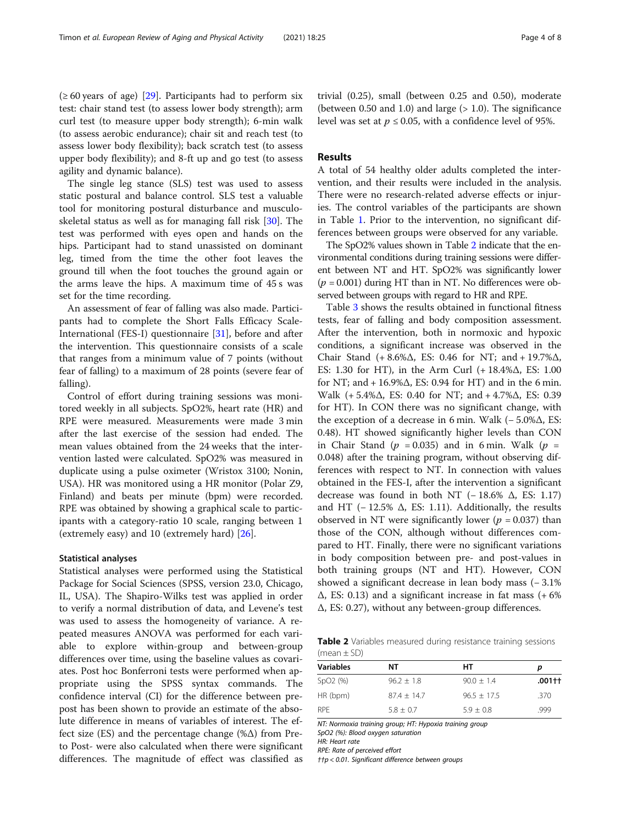$(\geq 60 \text{ years of age})$  [[29](#page-7-0)]. Participants had to perform six test: chair stand test (to assess lower body strength); arm curl test (to measure upper body strength); 6-min walk (to assess aerobic endurance); chair sit and reach test (to assess lower body flexibility); back scratch test (to assess upper body flexibility); and 8-ft up and go test (to assess agility and dynamic balance).

The single leg stance (SLS) test was used to assess static postural and balance control. SLS test a valuable tool for monitoring postural disturbance and musculoskeletal status as well as for managing fall risk [[30\]](#page-7-0). The test was performed with eyes open and hands on the hips. Participant had to stand unassisted on dominant leg, timed from the time the other foot leaves the ground till when the foot touches the ground again or the arms leave the hips. A maximum time of 45 s was set for the time recording.

An assessment of fear of falling was also made. Participants had to complete the Short Falls Efficacy Scale-International (FES-I) questionnaire [[31\]](#page-7-0), before and after the intervention. This questionnaire consists of a scale that ranges from a minimum value of 7 points (without fear of falling) to a maximum of 28 points (severe fear of falling).

Control of effort during training sessions was monitored weekly in all subjects. SpO2%, heart rate (HR) and RPE were measured. Measurements were made 3 min after the last exercise of the session had ended. The mean values obtained from the 24 weeks that the intervention lasted were calculated. SpO2% was measured in duplicate using a pulse oximeter (Wristox 3100; Nonin, USA). HR was monitored using a HR monitor (Polar Z9, Finland) and beats per minute (bpm) were recorded. RPE was obtained by showing a graphical scale to participants with a category-ratio 10 scale, ranging between 1 (extremely easy) and 10 (extremely hard) [[26](#page-7-0)].

#### Statistical analyses

Statistical analyses were performed using the Statistical Package for Social Sciences (SPSS, version 23.0, Chicago, IL, USA). The Shapiro-Wilks test was applied in order to verify a normal distribution of data, and Levene's test was used to assess the homogeneity of variance. A repeated measures ANOVA was performed for each variable to explore within-group and between-group differences over time, using the baseline values as covariates. Post hoc Bonferroni tests were performed when appropriate using the SPSS syntax commands. The confidence interval (CI) for the difference between prepost has been shown to provide an estimate of the absolute difference in means of variables of interest. The effect size (ES) and the percentage change  $(\% \Delta)$  from Preto Post- were also calculated when there were significant differences. The magnitude of effect was classified as trivial (0.25), small (between 0.25 and 0.50), moderate (between 0.50 and 1.0) and large  $(>1.0)$ . The significance level was set at  $p \le 0.05$ , with a confidence level of 95%.

## Results

A total of 54 healthy older adults completed the intervention, and their results were included in the analysis. There were no research-related adverse effects or injuries. The control variables of the participants are shown in Table [1.](#page-2-0) Prior to the intervention, no significant differences between groups were observed for any variable.

The SpO2% values shown in Table 2 indicate that the environmental conditions during training sessions were different between NT and HT. SpO2% was significantly lower  $(p = 0.001)$  during HT than in NT. No differences were observed between groups with regard to HR and RPE.

Table [3](#page-4-0) shows the results obtained in functional fitness tests, fear of falling and body composition assessment. After the intervention, both in normoxic and hypoxic conditions, a significant increase was observed in the Chair Stand (+ 8.6%Δ, ES: 0.46 for NT; and + 19.7%Δ, ES: 1.30 for HT), in the Arm Curl (+ 18.4%Δ, ES: 1.00 for NT; and  $+16.9\%$  $\Delta$ , ES: 0.94 for HT) and in the 6 min. Walk (+ 5.4%Δ, ES: 0.40 for NT; and + 4.7%Δ, ES: 0.39 for HT). In CON there was no significant change, with the exception of a decrease in 6 min. Walk (− 5.0%Δ, ES: 0.48). HT showed significantly higher levels than CON in Chair Stand ( $p = 0.035$ ) and in 6 min. Walk ( $p =$ 0.048) after the training program, without observing differences with respect to NT. In connection with values obtained in the FES-I, after the intervention a significant decrease was found in both NT ( $-18.6\%$   $\Delta$ , ES: 1.17) and HT ( $-12.5\%$   $\Delta$ , ES: 1.11). Additionally, the results observed in NT were significantly lower ( $p = 0.037$ ) than those of the CON, although without differences compared to HT. Finally, there were no significant variations in body composition between pre- and post-values in both training groups (NT and HT). However, CON showed a significant decrease in lean body mass (− 3.1%  $\Delta$ , ES: 0.13) and a significant increase in fat mass (+6%) Δ, ES: 0.27), without any between-group differences.

Table 2 Variables measured during resistance training sessions (mean  $\pm$  SD)

| Variables            | NΤ            | HТ             | р      |
|----------------------|---------------|----------------|--------|
| SpO <sub>2</sub> (%) | $96.2 + 1.8$  | $90.0 \pm 1.4$ | .001†† |
| HR (bpm)             | $87.4 + 14.7$ | $96.5 + 17.5$  | .370   |
| <b>RPF</b>           | $5.8 + 0.7$   | $5.9 + 0.8$    | .999   |

NT: Normoxia training group; HT: Hypoxia training group

SpO2 (%): Blood oxygen saturation HR: Heart rate

RPE: Rate of perceived effort

††p < 0.01. Significant difference between groups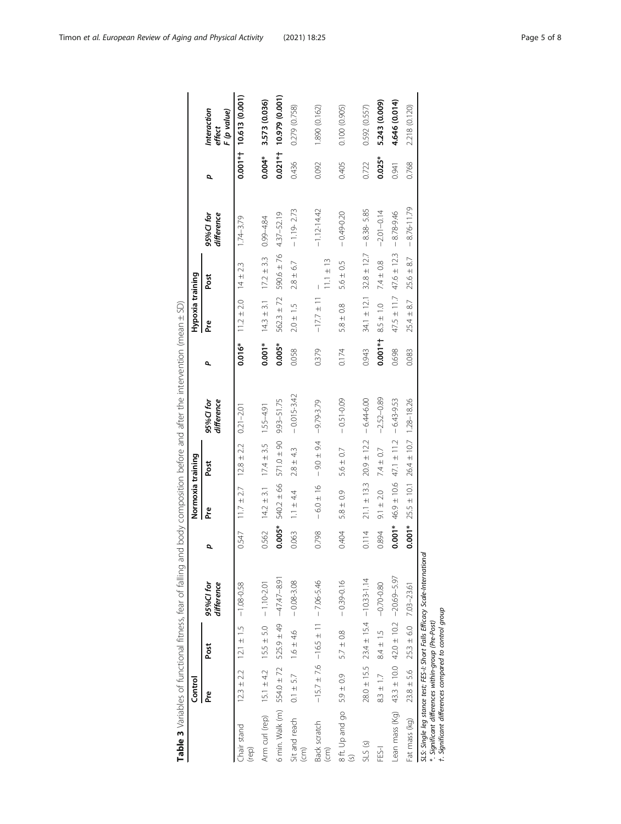<span id="page-4-0"></span>

|                                                                                                            | Control        |                                             |                                                                              |          | Normoxia training |                 |                         |           | Hypoxia training |                                 |                         |           |                                      |
|------------------------------------------------------------------------------------------------------------|----------------|---------------------------------------------|------------------------------------------------------------------------------|----------|-------------------|-----------------|-------------------------|-----------|------------------|---------------------------------|-------------------------|-----------|--------------------------------------|
|                                                                                                            | <u>ድ</u>       | Post                                        | 95%Cl for<br>difference                                                      | Q        | م<br>م            | Post            | 95%Cl for<br>difference | ٩         | ە<br>م           | Post                            | 95%Cl for<br>difference | p         | Interaction<br>F (p value)<br>effect |
| Chair stand<br>(rep)                                                                                       | $12.3 \pm 2.2$ | $12.1 \pm 1.5$ -1.08-0.58                   |                                                                              | 0.547    | $11.7 \pm 2.7$    | $12.8 \pm 2.2$  | $0.21 - 2.01$           | 0.016*    | $11.2 \pm 2.0$   | $14 \pm 2.3$                    | $1.74 - 3.79$           |           | $0.001**$ 10.613 (0.001)             |
| Arm curl (rep) $15.1 \pm 4.2$ $15.5 \pm 5.0$ - 1.10-2.01                                                   |                |                                             |                                                                              | 0.562    | $14.2 \pm 3.1$    | $17.4 \pm 3.5$  | $1.55 - 4.91$           | $0.001*$  | $14.3 \pm 3.1$   | $17.2 \pm 3.3$                  | $0.99 - 4.84$           | $0.004*$  | 3.573 (0.036)                        |
| 6 min. Walk (m) $554.0 \pm 72$ $525.9 \pm 49$ $-47.47 - 8.91$                                              |                |                                             |                                                                              | $0.005*$ | $540.2 \pm 66$    | $571.0 \pm 90$  | 9.93-51.75              | $0.005*$  | $562.3 \pm 72$   | $590.6 \pm 76$                  | 4.37-52.19              | $0.021**$ | 10.979 (0.001)                       |
| Sit and reach $0.1 \pm 5.7$ $1.6 \pm 4.6$<br>$\widehat{\epsilon}$                                          |                |                                             | $-0.08 - 3.08$                                                               | 0.063    | $1.1 \pm 4.4$     | $2.8 \pm 4.3$   | $-0.015 - 3.42$         | 0.058     | $2.0 \pm 1.5$    | $2.8 \pm 6.7$                   | $-1.19 - 2.73$          | 0.436     | 0.279 (0.758)                        |
| Back scratch<br>$\widehat{(-1)}$                                                                           |                | $-15.7 \pm 7.6$ $-16.5 \pm 11$ - 7.06-5.46  |                                                                              | 0.798    | $-6.0 \pm 16$     | $-9.0 \pm 9.4$  | $-9.79 - 3.79$          | 0.379     | $-17.7 \pm 11$   | $11.1 \pm 13$                   | $-1.12 - 14.42$         | 0.092     | 1.890 (0.162)                        |
| 8 ft Up and go $5.9 \pm 0.9$ 5.7 $\pm 0.8$                                                                 |                |                                             | $-0.39 - 0.16$                                                               | 0.404    | $5.8 \pm 0.9$     | $5.6 \pm 0.7$   | $-0.51 - 0.09$          | 0.174     | $5.8 \pm 0.8$    | $5.6 \pm 0.5$                   | $-0.49 - 0.20$          | 0.405     | 0.100 (0.905)                        |
| SLS(S)                                                                                                     |                | $28.0 \pm 15.5$ $23.4 \pm 15.4$ -10.33-1.14 |                                                                              | 0.114    | $21.1 \pm 13.3$   | $20.9 \pm 12.2$ | $-6.44 - 6.00$          | 0.943     |                  | $34.1 \pm 12.1$ $32.8 \pm 12.7$ | $-8.38 - 5.85$          | 0.722     | 0.592 (0.557)                        |
| FES-I                                                                                                      | $8.3 \pm 1.7$  | $8.4 \pm 1.5$                               | $-0.70 - 0.80$                                                               | 0.894    | $9.1 \pm 2.0$     | $7.4 \pm 0.7$   | $-2.52 - 0.89$          | $0.001**$ | $8.5 \pm 1.0$    | $7.4 \pm 0.8$                   | $-2.01 - 0.14$          | $0.025*$  | 5.243 (0.009)                        |
| Lean mass (Kg) $43.3 \pm 10.0$ $42.0 \pm 10.2$ $-20.69 - 5.97$                                             |                |                                             |                                                                              | 0.001*   | $46.9 \pm 10.6$   | $47.1 \pm 11.2$ | $-6.43 - 9.53$          | 0.698     | $47.5 \pm 11.7$  | $47.6 \pm 12.3$                 | $-8.78 - 9.46$          | 0.941     | 4.646 (0.014)                        |
| Fat mass (kg)                                                                                              | $23.8 \pm 5.6$ | $25.3 \pm 6.0$ 7.03-23.61                   |                                                                              | $0.001*$ | $25.5 \pm 10.1$   | $26.4 \pm 10.7$ | 1.28-18.26              | 0.083     | $25.4 \pm 8.7$   | $25.6 \pm 8.7$                  | $-8.76 - 11.79$         | 0.768     | 2.218 (0.120)                        |
| t. Significant differences compared to control group<br>*. Significant differences within-group (Pre-Post) |                |                                             | SLS: Single leg stance test; FES-I: Short Falls Efficacy Scale-International |          |                   |                 |                         |           |                  |                                 |                         |           |                                      |

Table 3 Variables of functional fitness, fear of falling and body composition before and after the intervention (mean ± SD) Table 3 Variables of functional fitness, fear of falling and body composition before and after the intervention (mean ± SD)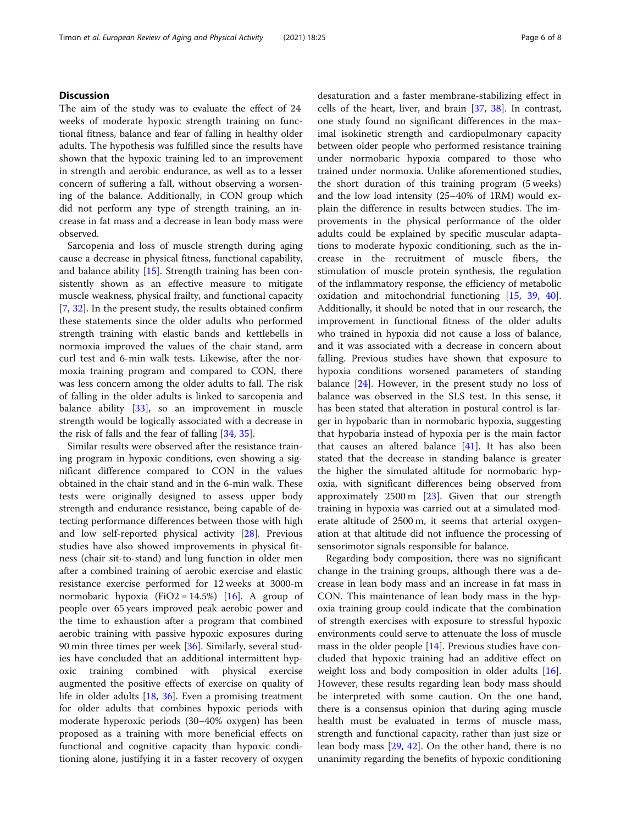## **Discussion**

The aim of the study was to evaluate the effect of 24 weeks of moderate hypoxic strength training on functional fitness, balance and fear of falling in healthy older adults. The hypothesis was fulfilled since the results have shown that the hypoxic training led to an improvement in strength and aerobic endurance, as well as to a lesser concern of suffering a fall, without observing a worsening of the balance. Additionally, in CON group which did not perform any type of strength training, an increase in fat mass and a decrease in lean body mass were observed.

Sarcopenia and loss of muscle strength during aging cause a decrease in physical fitness, functional capability, and balance ability [\[15](#page-7-0)]. Strength training has been consistently shown as an effective measure to mitigate muscle weakness, physical frailty, and functional capacity [[7,](#page-6-0) [32\]](#page-7-0). In the present study, the results obtained confirm these statements since the older adults who performed strength training with elastic bands and kettlebells in normoxia improved the values of the chair stand, arm curl test and 6-min walk tests. Likewise, after the normoxia training program and compared to CON, there was less concern among the older adults to fall. The risk of falling in the older adults is linked to sarcopenia and balance ability [[33](#page-7-0)], so an improvement in muscle strength would be logically associated with a decrease in the risk of falls and the fear of falling [[34](#page-7-0), [35](#page-7-0)].

Similar results were observed after the resistance training program in hypoxic conditions, even showing a significant difference compared to CON in the values obtained in the chair stand and in the 6-min walk. These tests were originally designed to assess upper body strength and endurance resistance, being capable of detecting performance differences between those with high and low self-reported physical activity [\[28](#page-7-0)]. Previous studies have also showed improvements in physical fitness (chair sit-to-stand) and lung function in older men after a combined training of aerobic exercise and elastic resistance exercise performed for 12 weeks at 3000-m normobaric hypoxia (FiO2 = 14.5%) [[16\]](#page-7-0). A group of people over 65 years improved peak aerobic power and the time to exhaustion after a program that combined aerobic training with passive hypoxic exposures during 90 min three times per week [[36](#page-7-0)]. Similarly, several studies have concluded that an additional intermittent hypoxic training combined with physical exercise augmented the positive effects of exercise on quality of life in older adults [\[18,](#page-7-0) [36](#page-7-0)]. Even a promising treatment for older adults that combines hypoxic periods with moderate hyperoxic periods (30–40% oxygen) has been proposed as a training with more beneficial effects on functional and cognitive capacity than hypoxic conditioning alone, justifying it in a faster recovery of oxygen desaturation and a faster membrane-stabilizing effect in cells of the heart, liver, and brain [[37,](#page-7-0) [38\]](#page-7-0). In contrast, one study found no significant differences in the maximal isokinetic strength and cardiopulmonary capacity between older people who performed resistance training under normobaric hypoxia compared to those who trained under normoxia. Unlike aforementioned studies, the short duration of this training program (5 weeks) and the low load intensity (25–40% of 1RM) would explain the difference in results between studies. The improvements in the physical performance of the older adults could be explained by specific muscular adaptations to moderate hypoxic conditioning, such as the increase in the recruitment of muscle fibers, the stimulation of muscle protein synthesis, the regulation of the inflammatory response, the efficiency of metabolic oxidation and mitochondrial functioning [\[15](#page-7-0), [39,](#page-7-0) [40](#page-7-0)]. Additionally, it should be noted that in our research, the improvement in functional fitness of the older adults who trained in hypoxia did not cause a loss of balance, and it was associated with a decrease in concern about falling. Previous studies have shown that exposure to hypoxia conditions worsened parameters of standing balance [[24\]](#page-7-0). However, in the present study no loss of balance was observed in the SLS test. In this sense, it has been stated that alteration in postural control is larger in hypobaric than in normobaric hypoxia, suggesting that hypobaria instead of hypoxia per is the main factor that causes an altered balance  $[41]$ . It has also been stated that the decrease in standing balance is greater the higher the simulated altitude for normobaric hypoxia, with significant differences being observed from approximately  $2500 \text{ m}$  [ $23$ ]. Given that our strength training in hypoxia was carried out at a simulated moderate altitude of 2500 m, it seems that arterial oxygenation at that altitude did not influence the processing of sensorimotor signals responsible for balance.

Regarding body composition, there was no significant change in the training groups, although there was a decrease in lean body mass and an increase in fat mass in CON. This maintenance of lean body mass in the hypoxia training group could indicate that the combination of strength exercises with exposure to stressful hypoxic environments could serve to attenuate the loss of muscle mass in the older people [\[14](#page-7-0)]. Previous studies have concluded that hypoxic training had an additive effect on weight loss and body composition in older adults [\[16](#page-7-0)]. However, these results regarding lean body mass should be interpreted with some caution. On the one hand, there is a consensus opinion that during aging muscle health must be evaluated in terms of muscle mass, strength and functional capacity, rather than just size or lean body mass [\[29](#page-7-0), [42\]](#page-7-0). On the other hand, there is no unanimity regarding the benefits of hypoxic conditioning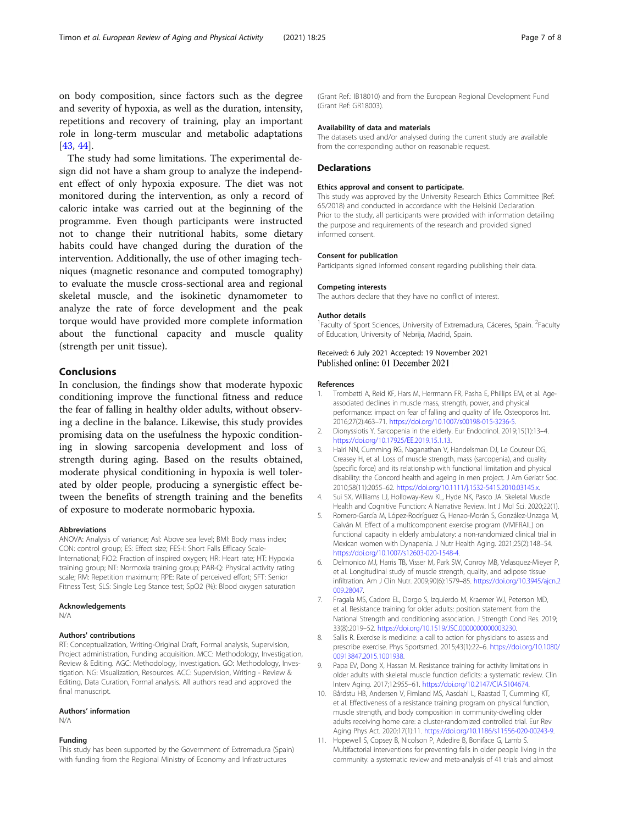<span id="page-6-0"></span>on body composition, since factors such as the degree and severity of hypoxia, as well as the duration, intensity, repetitions and recovery of training, play an important role in long-term muscular and metabolic adaptations [[43,](#page-7-0) [44\]](#page-7-0).

The study had some limitations. The experimental design did not have a sham group to analyze the independent effect of only hypoxia exposure. The diet was not monitored during the intervention, as only a record of caloric intake was carried out at the beginning of the programme. Even though participants were instructed not to change their nutritional habits, some dietary habits could have changed during the duration of the intervention. Additionally, the use of other imaging techniques (magnetic resonance and computed tomography) to evaluate the muscle cross-sectional area and regional skeletal muscle, and the isokinetic dynamometer to analyze the rate of force development and the peak torque would have provided more complete information about the functional capacity and muscle quality (strength per unit tissue).

## **Conclusions**

In conclusion, the findings show that moderate hypoxic conditioning improve the functional fitness and reduce the fear of falling in healthy older adults, without observing a decline in the balance. Likewise, this study provides promising data on the usefulness the hypoxic conditioning in slowing sarcopenia development and loss of strength during aging. Based on the results obtained, moderate physical conditioning in hypoxia is well tolerated by older people, producing a synergistic effect between the benefits of strength training and the benefits of exposure to moderate normobaric hypoxia.

#### Abbreviations

ANOVA: Analysis of variance; Asl: Above sea level; BMI: Body mass index; CON: control group; ES: Effect size; FES-I: Short Falls Efficacy Scale-International; FiO2: Fraction of inspired oxygen; HR: Heart rate; HT: Hypoxia training group; NT: Normoxia training group; PAR-Q: Physical activity rating scale; RM: Repetition maximum; RPE: Rate of perceived effort; SFT: Senior Fitness Test; SLS: Single Leg Stance test; SpO2 (%): Blood oxygen saturation

#### Acknowledgements

N/A

#### Authors' contributions

RT: Conceptualization, Writing-Original Draft, Formal analysis, Supervision, Project administration, Funding acquisition. MCC: Methodology, Investigation, Review & Editing. AGC: Methodology, Investigation. GO: Methodology, Investigation. NG: Visualization, Resources. ACC: Supervision, Writing - Review & Editing, Data Curation, Formal analysis. All authors read and approved the final manuscript.

#### Authors' information

N/A

#### Funding

This study has been supported by the Government of Extremadura (Spain) with funding from the Regional Ministry of Economy and Infrastructures

(Grant Ref.: IB18010) and from the European Regional Development Fund (Grant Ref: GR18003).

#### Availability of data and materials

The datasets used and/or analysed during the current study are available from the corresponding author on reasonable request.

#### **Declarations**

#### Ethics approval and consent to participate.

This study was approved by the University Research Ethics Committee (Ref: 65/2018) and conducted in accordance with the Helsinki Declaration. Prior to the study, all participants were provided with information detailing the purpose and requirements of the research and provided signed informed consent.

#### Consent for publication

Participants signed informed consent regarding publishing their data.

#### Competing interests

The authors declare that they have no conflict of interest.

#### Author details

<sup>1</sup> Faculty of Sport Sciences, University of Extremadura, Cáceres, Spain. <sup>2</sup> Faculty of Education, University of Nebrija, Madrid, Spain.

#### Received: 6 July 2021 Accepted: 19 November 2021 Published online: 01 December 2021

#### References

- 1. Trombetti A, Reid KF, Hars M, Herrmann FR, Pasha E, Phillips EM, et al. Ageassociated declines in muscle mass, strength, power, and physical performance: impact on fear of falling and quality of life. Osteoporos Int. 2016;27(2):463–71. <https://doi.org/10.1007/s00198-015-3236-5>.
- 2. Dionyssiotis Y. Sarcopenia in the elderly. Eur Endocrinol. 2019;15(1):13–4. <https://doi.org/10.17925/EE.2019.15.1.13>.
- 3. Hairi NN, Cumming RG, Naganathan V, Handelsman DJ, Le Couteur DG, Creasey H, et al. Loss of muscle strength, mass (sarcopenia), and quality (specific force) and its relationship with functional limitation and physical disability: the Concord health and ageing in men project. J Am Geriatr Soc. 2010;58(11):2055–62. <https://doi.org/10.1111/j.1532-5415.2010.03145.x>.
- 4. Sui SX, Williams LJ, Holloway-Kew KL, Hyde NK, Pasco JA. Skeletal Muscle Health and Cognitive Function: A Narrative Review. Int J Mol Sci. 2020;22(1).
- 5. Romero-García M, López-Rodríguez G, Henao-Morán S, González-Unzaga M, Galván M. Effect of a multicomponent exercise program (VIVIFRAIL) on functional capacity in elderly ambulatory: a non-randomized clinical trial in Mexican women with Dynapenia. J Nutr Health Aging. 2021;25(2):148–54. <https://doi.org/10.1007/s12603-020-1548-4>.
- 6. Delmonico MJ, Harris TB, Visser M, Park SW, Conroy MB, Velasquez-Mieyer P, et al. Longitudinal study of muscle strength, quality, and adipose tissue infiltration. Am J Clin Nutr. 2009;90(6):1579–85. [https://doi.org/10.3945/ajcn.2](https://doi.org/10.3945/ajcn.2009.28047) [009.28047](https://doi.org/10.3945/ajcn.2009.28047).
- 7. Fragala MS, Cadore EL, Dorgo S, Izquierdo M, Kraemer WJ, Peterson MD, et al. Resistance training for older adults: position statement from the National Strength and conditioning association. J Strength Cond Res. 2019; 33(8):2019–52. [https://doi.org/10.1519/JSC.0000000000003230.](https://doi.org/10.1519/JSC.0000000000003230)
- 8. Sallis R. Exercise is medicine: a call to action for physicians to assess and prescribe exercise. Phys Sportsmed. 2015;43(1):22–6. [https://doi.org/10.1080/](https://doi.org/10.1080/00913847.2015.1001938) [00913847.2015.1001938.](https://doi.org/10.1080/00913847.2015.1001938)
- 9. Papa EV, Dong X, Hassan M. Resistance training for activity limitations in older adults with skeletal muscle function deficits: a systematic review. Clin Interv Aging. 2017;12:955–61. <https://doi.org/10.2147/CIA.S104674>.
- 10. Bårdstu HB, Andersen V, Fimland MS, Aasdahl L, Raastad T, Cumming KT, et al. Effectiveness of a resistance training program on physical function, muscle strength, and body composition in community-dwelling older adults receiving home care: a cluster-randomized controlled trial. Eur Rev Aging Phys Act. 2020;17(1):11. [https://doi.org/10.1186/s11556-020-00243-9.](https://doi.org/10.1186/s11556-020-00243-9)
- 11. Hopewell S, Copsey B, Nicolson P, Adedire B, Boniface G, Lamb S Multifactorial interventions for preventing falls in older people living in the community: a systematic review and meta-analysis of 41 trials and almost